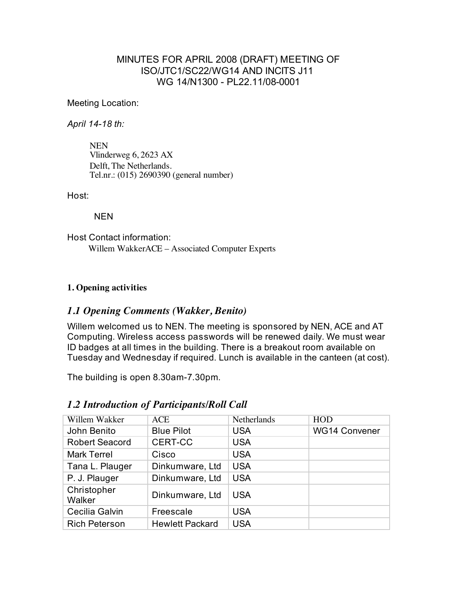### MINUTES FOR APRIL 2008 (DRAFT) MEETING OF ISO/JTC1/SC22/WG14 AND INCITS J11 WG 14/N1300 - PL22.11/08-0001

Meeting Location:

*April 14-18 th:*

NEN Vlinderweg 6, 2623 AX Delft, The Netherlands. Tel.nr.: (015) 2690390 (general number)

Host:

NEN

Host Contact information: Willem WakkerACE – Associated Computer Experts

### **1. Opening activities**

### *1.1 Opening Comments (Wakker, Benito)*

Willem welcomed us to NEN. The meeting is sponsored by NEN, ACE and AT Computing. Wireless access passwords will be renewed daily. We must wear ID badges at all times in the building. There is a breakout room available on Tuesday and Wednesday if required. Lunch is available in the canteen (at cost).

The building is open 8.30am-7.30pm.

| Willem Wakker         | <b>ACE</b>             | Netherlands | <b>HOD</b>           |
|-----------------------|------------------------|-------------|----------------------|
| John Benito           | <b>Blue Pilot</b>      | <b>USA</b>  | <b>WG14 Convener</b> |
| <b>Robert Seacord</b> | <b>CERT-CC</b>         | <b>USA</b>  |                      |
| <b>Mark Terrel</b>    | Cisco                  | <b>USA</b>  |                      |
| Tana L. Plauger       | Dinkumware, Ltd        | <b>USA</b>  |                      |
| P. J. Plauger         | Dinkumware, Ltd        | <b>USA</b>  |                      |
| Christopher<br>Walker | Dinkumware, Ltd        | <b>USA</b>  |                      |
| Cecilia Galvin        | Freescale              | <b>USA</b>  |                      |
| <b>Rich Peterson</b>  | <b>Hewlett Packard</b> | <b>USA</b>  |                      |

### *1.2 Introduction of Participants/Roll Call*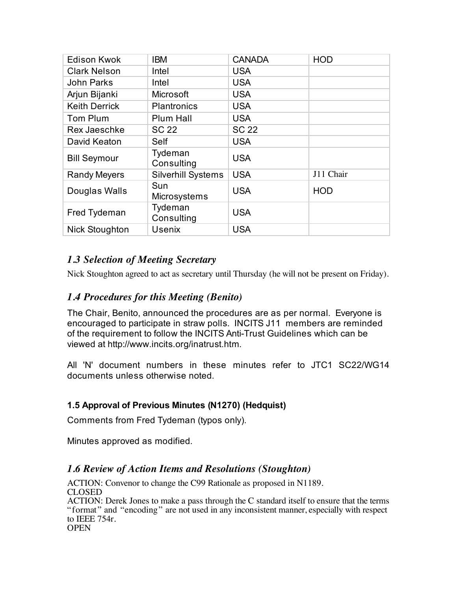| <b>Edison Kwok</b>   | ibm                       | <b>CANADA</b> | <b>HOD</b> |
|----------------------|---------------------------|---------------|------------|
| <b>Clark Nelson</b>  | Intel                     | <b>USA</b>    |            |
| John Parks           | Intel                     | <b>USA</b>    |            |
| Arjun Bijanki        | Microsoft                 | <b>USA</b>    |            |
| <b>Keith Derrick</b> | <b>Plantronics</b>        | <b>USA</b>    |            |
| Tom Plum             | Plum Hall                 | <b>USA</b>    |            |
| Rex Jaeschke         | SC 22                     | <b>SC 22</b>  |            |
| David Keaton         | Self                      | <b>USA</b>    |            |
| <b>Bill Seymour</b>  | Tydeman<br>Consulting     | <b>USA</b>    |            |
| <b>Randy Meyers</b>  | <b>Silverhill Systems</b> | <b>USA</b>    | J11 Chair  |
| Douglas Walls        | Sun<br>Microsystems       | <b>USA</b>    | <b>HOD</b> |
| Fred Tydeman         | Tydeman<br>Consulting     | <b>USA</b>    |            |
| Nick Stoughton       | <b>Usenix</b>             | <b>USA</b>    |            |

## *1.3 Selection of Meeting Secretary*

Nick Stoughton agreed to act as secretary until Thursday (he will not be present on Friday).

### *1.4 Procedures for this Meeting (Benito)*

The Chair, Benito, announced the procedures are as per normal. Everyone is encouraged to participate in straw polls. INCITS J11 members are reminded of the requirement to follow the INCITS Anti-Trust Guidelines which can be viewed at http://www.incits.org/inatrust.htm.

All 'N' document numbers in these minutes refer to JTC1 SC22/WG14 documents unless otherwise noted.

### **1.5 Approval of Previous Minutes (N1270) (Hedquist)**

Comments from Fred Tydeman (typos only).

Minutes approved as modified.

### *1.6 Review of Action Items and Resolutions (Stoughton)*

ACTION: Convenor to change the C99 Rationale as proposed in N1189. CLOSED ACTION: Derek Jones to make a pass through the C standard itself to ensure that the terms "format" and "encoding" are not used in any inconsistent manner, especially with respect to IEEE 754r. **OPEN**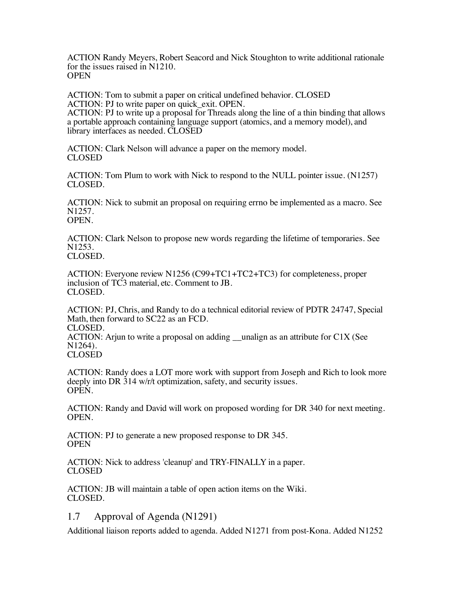ACTION Randy Meyers, Robert Seacord and Nick Stoughton to write additional rationale for the issues raised in N1210. **OPEN** 

ACTION: Tom to submit a paper on critical undefined behavior. CLOSED ACTION: PJ to write paper on quick exit. OPEN.

ACTION: PJ to write up a proposal for Threads along the line of a thin binding that allows a portable approach containing language support (atomics, and a memory model), and library interfaces as needed. CLOSED

ACTION: Clark Nelson will advance a paper on the memory model. CLOSED

ACTION: Tom Plum to work with Nick to respond to the NULL pointer issue. (N1257) CLOSED.

ACTION: Nick to submit an proposal on requiring errno be implemented as a macro. See N1257. OPEN.

ACTION: Clark Nelson to propose new words regarding the lifetime of temporaries. See N1253. CLOSED.

ACTION: Everyone review N1256 (C99+TC1+TC2+TC3) for completeness, proper inclusion of TC3 material, etc. Comment to JB. CLOSED.

ACTION: PJ, Chris, and Randy to do a technical editorial review of PDTR 24747, Special Math, then forward to SC22 as an FCD.

CLOSED.

ACTION: Arjun to write a proposal on adding  $\qquad$  unalign as an attribute for C1X (See N1264).

CLOSED

ACTION: Randy does a LOT more work with support from Joseph and Rich to look more deeply into DR 314 w/r/t optimization, safety, and security issues. OPEN.

ACTION: Randy and David will work on proposed wording for DR 340 for next meeting. OPEN.

ACTION: PJ to generate a new proposed response to DR 345. **OPEN** 

ACTION: Nick to address 'cleanup' and TRY-FINALLY in a paper. CLOSED

ACTION: JB will maintain a table of open action items on the Wiki. CLOSED.

### 1.7 Approval of Agenda (N1291)

Additional liaison reports added to agenda. Added N1271 from post-Kona. Added N1252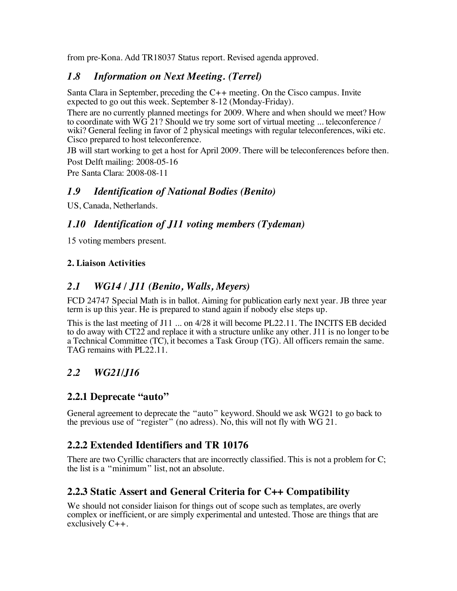from pre-Kona. Add TR18037 Status report. Revised agenda approved.

### *1.8 Information on Next Meeting. (Terrel)*

Santa Clara in September, preceding the C++ meeting. On the Cisco campus. Invite expected to go out this week. September 8-12 (Monday-Friday).

There are no currently planned meetings for 2009. Where and when should we meet? How to coordinate with  $\overline{WG}$  21? Should we try some sort of virtual meeting ... teleconference / wiki? General feeling in favor of 2 physical meetings with regular teleconferences, wiki etc. Cisco prepared to host teleconference.

JB will start working to get a host for April 2009. There will be teleconferences before then. Post Delft mailing: 2008-05-16

Pre Santa Clara: 2008-08-11

### *1.9 Identification of National Bodies (Benito)*

US, Canada, Netherlands.

### *1.10 Identification of J11 voting members (Tydeman)*

15 voting members present.

#### **2. Liaison Activities**

### *2.1 WG14 / J11 (Benito, Walls, Meyers)*

FCD 24747 Special Math is in ballot. Aiming for publication early next year. JB three year term is up this year. He is prepared to stand again if nobody else steps up.

This is the last meeting of J11 ... on 4/28 it will become PL22.11. The INCITS EB decided to do away with CT22 and replace it with a structure unlike any other. J11 is no longer to be a Technical Committee (TC), it becomes a Task Group (TG). All officers remain the same. TAG remains with PL22.11.

## *2.2 WG21/J16*

### **2.2.1 Deprecate "auto"**

General agreement to deprecate the "auto" keyword. Should we ask WG21 to go back to the previous use of "register" (no adress). No, this will not fly with WG 21.

### **2.2.2 Extended Identifiers and TR 10176**

There are two Cyrillic characters that are incorrectly classified. This is not a problem for C; the list is a "minimum" list, not an absolute.

### **2.2.3 Static Assert and General Criteria for C++ Compatibility**

We should not consider liaison for things out of scope such as templates, are overly complex or inefficient, or are simply experimental and untested. Those are things that are exclusively C++.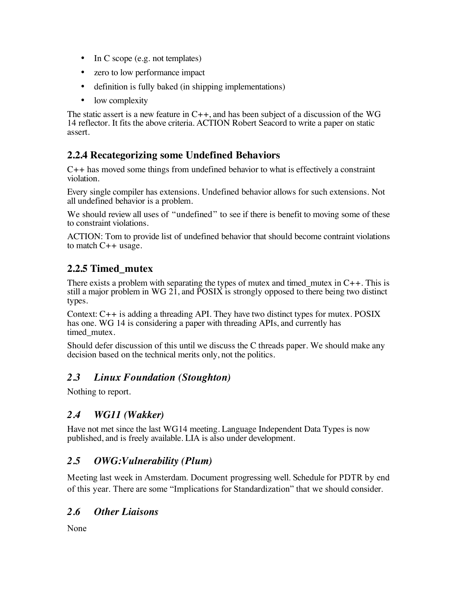- In C scope (e.g. not templates)
- zero to low performance impact
- definition is fully baked (in shipping implementations)
- low complexity

The static assert is a new feature in  $C_{++}$ , and has been subject of a discussion of the WG 14 reflector. It fits the above criteria. ACTION Robert Seacord to write a paper on static assert.

## **2.2.4 Recategorizing some Undefined Behaviors**

C++ has moved some things from undefined behavior to what is effectively a constraint violation.

Every single compiler has extensions. Undefined behavior allows for such extensions. Not all undefined behavior is a problem.

We should review all uses of "undefined" to see if there is benefit to moving some of these to constraint violations.

ACTION: Tom to provide list of undefined behavior that should become contraint violations to match  $C_{++}$  usage.

## **2.2.5 Timed\_mutex**

There exists a problem with separating the types of mutex and timed\_mutex in  $C_{++}$ . This is still a major problem in WG 21, and POSIX is strongly opposed to there being two distinct types.

Context: C++ is adding a threading API. They have two distinct types for mutex. POSIX has one. WG 14 is considering a paper with threading APIs, and currently has timed\_mutex.

Should defer discussion of this until we discuss the C threads paper. We should make any decision based on the technical merits only, not the politics.

### *2.3 Linux Foundation (Stoughton)*

Nothing to report.

## *2.4 WG11 (Wakker)*

Have not met since the last WG14 meeting. Language Independent Data Types is now published, and is freely available. LIA is also under development.

## *2.5 OWG:Vulnerability (Plum)*

Meeting last week in Amsterdam. Document progressing well. Schedule for PDTR by end of this year. There are some "Implications for Standardization" that we should consider.

### *2.6 Other Liaisons*

None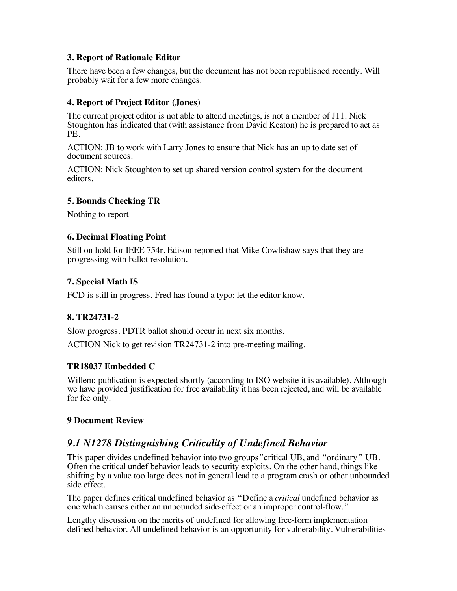#### **3. Report of Rationale Editor**

There have been a few changes, but the document has not been republished recently. Will probably wait for a few more changes.

#### **4. Report of Project Editor (Jones)**

The current project editor is not able to attend meetings, is not a member of J11. Nick Stoughton has indicated that (with assistance from David Keaton) he is prepared to act as PE.

ACTION: JB to work with Larry Jones to ensure that Nick has an up to date set of document sources.

ACTION: Nick Stoughton to set up shared version control system for the document editors.

#### **5. Bounds Checking TR**

Nothing to report

#### **6. Decimal Floating Point**

Still on hold for IEEE 754r. Edison reported that Mike Cowlishaw says that they are progressing with ballot resolution.

#### **7. Special Math IS**

FCD is still in progress. Fred has found a typo; let the editor know.

#### **8. TR24731-2**

Slow progress. PDTR ballot should occur in next six months.

ACTION Nick to get revision TR24731-2 into pre-meeting mailing.

#### **TR18037 Embedded C**

Willem: publication is expected shortly (according to ISO website it is available). Although we have provided justification for free availability it has been rejected, and will be available for fee only.

#### **9 Document Review**

### *9.1 N1278 Distinguishing Criticality of Undefined Behavior*

This paper divides undefined behavior into two groups"critical UB, and "ordinary" UB. Often the critical undef behavior leads to security exploits. On the other hand, things like shifting by a value too large does not in general lead to a program crash or other unbounded side effect.

The paper defines critical undefined behavior as "Define a *critical* undefined behavior as one which causes either an unbounded side-effect or an improper control-flow."

Lengthy discussion on the merits of undefined for allowing free-form implementation defined behavior. All undefined behavior is an opportunity for vulnerability. Vulnerabilities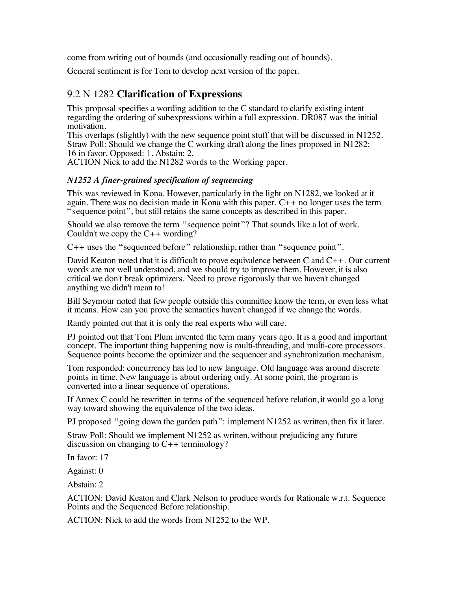come from writing out of bounds (and occasionally reading out of bounds).

General sentiment is for Tom to develop next version of the paper.

### 9.2 N 1282 **Clarification of Expressions**

This proposal specifies a wording addition to the C standard to clarify existing intent regarding the ordering of subexpressions within a full expression. DR087 was the initial motivation.

This overlaps (slightly) with the new sequence point stuff that will be discussed in N1252. Straw Poll: Should we change the C working draft along the lines proposed in N1282: 16 in favor. Opposed: 1. Abstain: 2.

ACTION Nick to add the N1282 words to the Working paper.

#### *N1252 A finer-grained specification of sequencing*

This was reviewed in Kona. However, particularly in the light on N1282, we looked at it again. There was no decision made in Kona with this paper.  $C_{++}$  no longer uses the term "sequence point", but still retains the same concepts as described in this paper.

Should we also remove the term "sequence point"? That sounds like a lot of work. Couldn't we copy the  $C_{++}$  wording?

C++ uses the "sequenced before" relationship, rather than "sequence point".

David Keaton noted that it is difficult to prove equivalence between C and C++. Our current words are not well understood, and we should try to improve them. However, it is also critical we don't break optimizers. Need to prove rigorously that we haven't changed anything we didn't mean to!

Bill Seymour noted that few people outside this committee know the term, or even less what it means. How can you prove the semantics haven't changed if we change the words.

Randy pointed out that it is only the real experts who will care.

PJ pointed out that Tom Plum invented the term many years ago. It is a good and important concept. The important thing happening now is multi-threading, and multi-core processors. Sequence points become the optimizer and the sequencer and synchronization mechanism.

Tom responded: concurrency has led to new language. Old language was around discrete points in time. New language is about ordering only. At some point, the program is converted into a linear sequence of operations.

If Annex C could be rewritten in terms of the sequenced before relation, it would go a long way toward showing the equivalence of the two ideas.

PJ proposed "going down the garden path": implement N1252 as written, then fix it later.

Straw Poll: Should we implement N1252 as written, without prejudicing any future discussion on changing to C++ terminology?

In favor: 17

Against: 0

Abstain: 2

ACTION: David Keaton and Clark Nelson to produce words for Rationale w.r.t. Sequence Points and the Sequenced Before relationship.

ACTION: Nick to add the words from N1252 to the WP.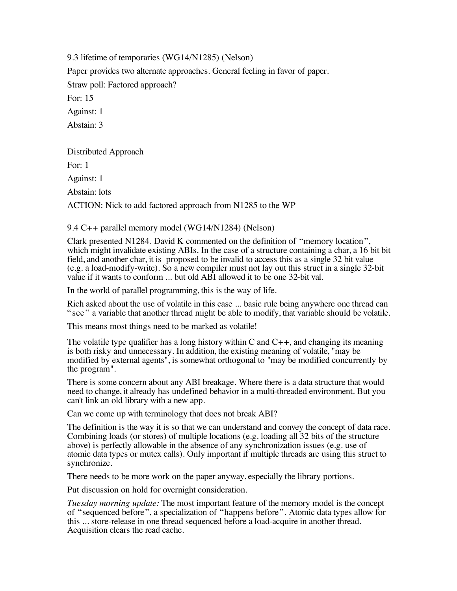9.3 lifetime of temporaries (WG14/N1285) (Nelson)

Paper provides two alternate approaches. General feeling in favor of paper.

Straw poll: Factored approach?

For: 15

Against: 1

Abstain: 3

Distributed Approach For: 1 Against: 1 Abstain: lots ACTION: Nick to add factored approach from N1285 to the WP

#### 9.4 C++ parallel memory model (WG14/N1284) (Nelson)

Clark presented N1284. David K commented on the definition of "memory location", which might invalidate existing ABIs. In the case of a structure containing a char, a 16 bit bit field, and another char, it is proposed to be invalid to access this as a single 32 bit value  $(e.g. a load-modify-write)$ . So a new compiler must not lay out this struct in a single 32-bit value if it wants to conform ... but old ABI allowed it to be one 32-bit val.

In the world of parallel programming, this is the way of life.

Rich asked about the use of volatile in this case ... basic rule being anywhere one thread can "see" a variable that another thread might be able to modify, that variable should be volatile.

This means most things need to be marked as volatile!

The volatile type qualifier has a long history within C and  $C_{++}$ , and changing its meaning is both risky and unnecessary. In addition, the existing meaning of volatile, "may be modified by external agents", is somewhat orthogonal to "may be modified concurrently by the program".

There is some concern about any ABI breakage. Where there is a data structure that would need to change, it already has undefined behavior in a multi-threaded environment. But you can't link an old library with a new app.

Can we come up with terminology that does not break ABI?

The definition is the way it is so that we can understand and convey the concept of data race. Combining loads (or stores) of multiple locations (e.g. loading all 32 bits of the structure above) is perfectly allowable in the absence of any synchronization issues (e.g. use of atomic data types or mutex calls). Only important if multiple threads are using this struct to synchronize.

There needs to be more work on the paper anyway, especially the library portions.

Put discussion on hold for overnight consideration.

*Tuesday morning update:* The most important feature of the memory model is the concept of "sequenced before", a specialization of "happens before". Atomic data types allow for this ... store-release in one thread sequenced before a load-acquire in another thread. Acquisition clears the read cache.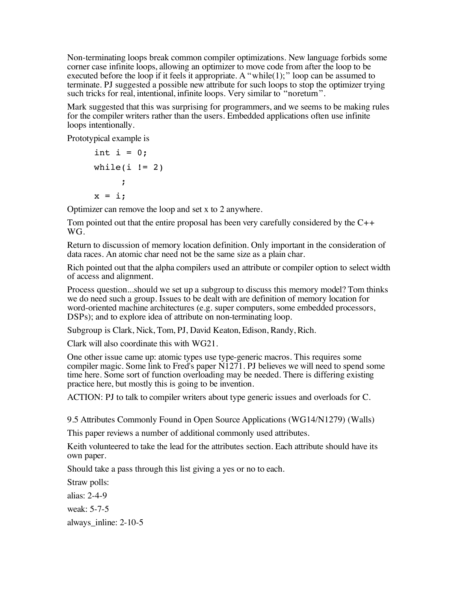Non-terminating loops break common compiler optimizations. New language forbids some corner case infinite loops, allowing an optimizer to move code from after the loop to be executed before the loop if it feels it appropriate. A "while(1);" loop can be assumed to terminate. PJ suggested a possible new attribute for such loops to stop the optimizer trying such tricks for real, intentional, infinite loops. Very similar to "noreturn".

Mark suggested that this was surprising for programmers, and we seems to be making rules for the compiler writers rather than the users. Embedded applications often use infinite loops intentionally.

Prototypical example is

```
int i = 0;
while(i != 2)
     ;
x = i:
```
Optimizer can remove the loop and set x to 2 anywhere.

Tom pointed out that the entire proposal has been very carefully considered by the  $C_{++}$ W<sub>G</sub>

Return to discussion of memory location definition. Only important in the consideration of data races. An atomic char need not be the same size as a plain char.

Rich pointed out that the alpha compilers used an attribute or compiler option to select width of access and alignment.

Process question...should we set up a subgroup to discuss this memory model? Tom thinks we do need such a group. Issues to be dealt with are definition of memory location for word-oriented machine architectures (e.g. super computers, some embedded processors, DSPs); and to explore idea of attribute on non-terminating loop.

Subgroup is Clark, Nick, Tom, PJ, David Keaton, Edison, Randy, Rich.

Clark will also coordinate this with WG21.

One other issue came up: atomic types use type-generic macros. This requires some compiler magic. Some link to Fred's paper  $\overline{N1271}$ . PJ believes we will need to spend some time here. Some sort of function overloading may be needed. There is differing existing practice here, but mostly this is going to be invention.

ACTION: PJ to talk to compiler writers about type generic issues and overloads for C.

9.5 Attributes Commonly Found in Open Source Applications (WG14/N1279) (Walls)

This paper reviews a number of additional commonly used attributes.

Keith volunteered to take the lead for the attributes section. Each attribute should have its own paper.

Should take a pass through this list giving a yes or no to each.

Straw polls:

alias: 2-4-9

weak: 5-7-5

always\_inline: 2-10-5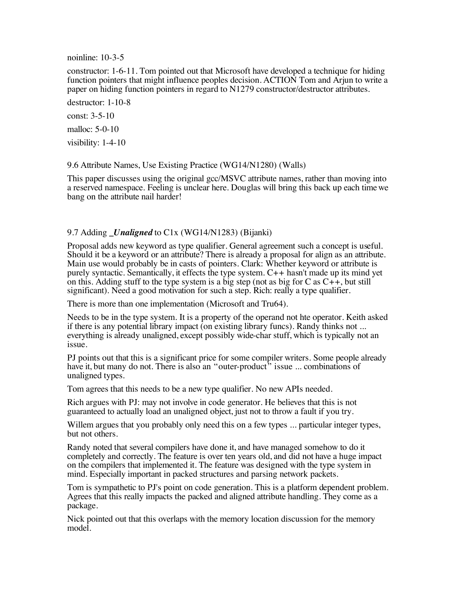noinline: 10-3-5

constructor: 1-6-11. Tom pointed out that Microsoft have developed a technique for hiding function pointers that might influence peoples decision. ACTION Tom and Arjun to write a paper on hiding function pointers in regard to N1279 constructor/destructor attributes.

destructor: 1-10-8

const: 3-5-10

malloc: 5-0-10

visibility: 1-4-10

9.6 Attribute Names, Use Existing Practice (WG14/N1280) (Walls)

This paper discusses using the original gcc/MSVC attribute names, rather than moving into a reserved namespace. Feeling is unclear here. Douglas will bring this back up each time we bang on the attribute nail harder!

#### 9.7 Adding *Unaligned* to C1x (WG14/N1283) (Bijanki)

Proposal adds new keyword as type qualifier. General agreement such a concept is useful. Should it be a keyword or an attribute? There is already a proposal for align as an attribute. Main use would probably be in casts of pointers. Clark: Whether keyword or attribute is purely syntactic. Semantically, it effects the type system. C++ hasn't made up its mind yet on this. Adding stuff to the type system is a big step (not as big for C as  $C_{++}$ , but still significant). Need a good motivation for such a step. Rich: really a type qualifier.

There is more than one implementation (Microsoft and Tru64).

Needs to be in the type system. It is a property of the operand not hte operator. Keith asked if there is any potential library impact (on existing library funcs). Randy thinks not ... everything is already unaligned, except possibly wide-char stuff, which is typically not an issue.

PJ points out that this is a significant price for some compiler writers. Some people already have it, but many do not. There is also an "outer-product" issue ... combinations of unaligned types.

Tom agrees that this needs to be a new type qualifier. No new APIs needed.

Rich argues with PJ: may not involve in code generator. He believes that this is not guaranteed to actually load an unaligned object, just not to throw a fault if you try.

Willem argues that you probably only need this on a few types ... particular integer types, but not others.

Randy noted that several compilers have done it, and have managed somehow to do it completely and correctly. The feature is over ten years old, and did not have a huge impact on the compilers that implemented it. The feature was designed with the type system in mind. Especially important in packed structures and parsing network packets.

Tom is sympathetic to PJ's point on code generation. This is a platform dependent problem. Agrees that this really impacts the packed and aligned attribute handling. They come as a package.

Nick pointed out that this overlaps with the memory location discussion for the memory model.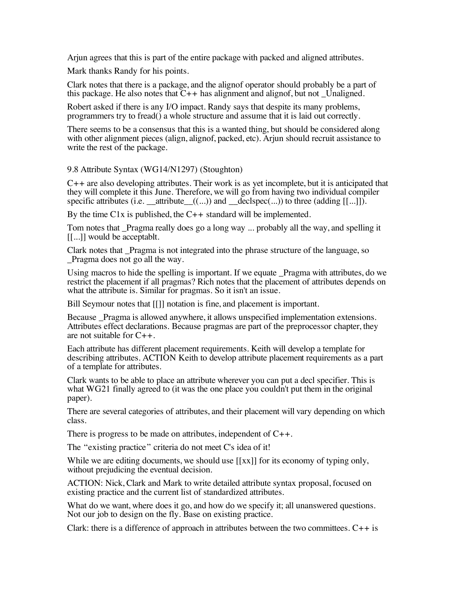Arjun agrees that this is part of the entire package with packed and aligned attributes.

Mark thanks Randy for his points.

Clark notes that there is a package, and the alignof operator should probably be a part of this package. He also notes that  $C_{++}$  has alignment and alignof, but not Unaligned.

Robert asked if there is any I/O impact. Randy says that despite its many problems, programmers try to fread() a whole structure and assume that it is laid out correctly.

There seems to be a consensus that this is a wanted thing, but should be considered along with other alignment pieces (align, alignof, packed, etc). Arjun should recruit assistance to write the rest of the package.

9.8 Attribute Syntax (WG14/N1297) (Stoughton)

 $C_{++}$  are also developing attributes. Their work is as yet incomplete, but it is anticipated that they will complete it this June. Therefore, we will go from having two individual compiler specific attributes (i.e.  $\text{attribute}((...))$  and  $\text{declope}(...))$  to three (adding  $[[...]$ ).

By the time  $C1x$  is published, the  $C_{++}$  standard will be implemented.

Tom notes that Pragma really does go a long way ... probably all the way, and spelling it [[...]] would be acceptablt.

Clark notes that \_Pragma is not integrated into the phrase structure of the language, so \_Pragma does not go all the way.

Using macros to hide the spelling is important. If we equate Pragma with attributes, do we restrict the placement if all pragmas? Rich notes that the placement of attributes depends on what the attribute is. Similar for pragmas. So it isn't an issue.

Bill Seymour notes that [[]] notation is fine, and placement is important.

Because Pragma is allowed anywhere, it allows unspecified implementation extensions. Attributes effect declarations. Because pragmas are part of the preprocessor chapter, they are not suitable for  $C_{++}$ .

Each attribute has different placement requirements. Keith will develop a template for describing attributes. ACTION Keith to develop attribute placement requirements as a part of a template for attributes.

Clark wants to be able to place an attribute wherever you can put a decl specifier. This is what WG21 finally agreed to (it was the one place you couldn't put them in the original paper).

There are several categories of attributes, and their placement will vary depending on which class.

There is progress to be made on attributes, independent of C++.

The "existing practice" criteria do not meet C's idea of it!

While we are editing documents, we should use  $[[xx]]$  for its economy of typing only, without prejudicing the eventual decision.

ACTION: Nick, Clark and Mark to write detailed attribute syntax proposal, focused on existing practice and the current list of standardized attributes.

What do we want, where does it go, and how do we specify it; all unanswered questions. Not our job to design on the fly. Base on existing practice.

Clark: there is a difference of approach in attributes between the two committees.  $C_{++}$  is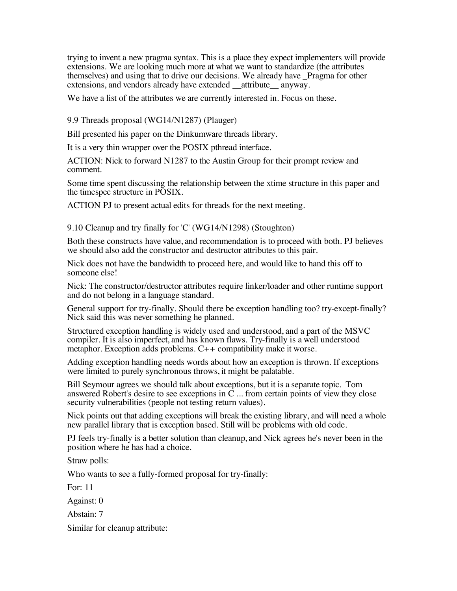trying to invent a new pragma syntax. This is a place they expect implementers will provide extensions. We are looking much more at what we want to standardize (the attributes themselves) and using that to drive our decisions. We already have \_Pragma for other extensions, and vendors already have extended attribute anyway.

We have a list of the attributes we are currently interested in. Focus on these.

9.9 Threads proposal (WG14/N1287) (Plauger)

Bill presented his paper on the Dinkumware threads library.

It is a very thin wrapper over the POSIX pthread interface.

ACTION: Nick to forward N1287 to the Austin Group for their prompt review and comment.

Some time spent discussing the relationship between the xtime structure in this paper and the timespec structure in POSIX.

ACTION PJ to present actual edits for threads for the next meeting.

9.10 Cleanup and try finally for 'C' (WG14/N1298) (Stoughton)

Both these constructs have value, and recommendation is to proceed with both. PJ believes we should also add the constructor and destructor attributes to this pair.

Nick does not have the bandwidth to proceed here, and would like to hand this off to someone else!

Nick: The constructor/destructor attributes require linker/loader and other runtime support and do not belong in a language standard.

General support for try-finally. Should there be exception handling too? try-except-finally? Nick said this was never something he planned.

Structured exception handling is widely used and understood, and a part of the MSVC compiler. It is also imperfect, and has known flaws. Try-finally is a well understood metaphor. Exception adds problems. C++ compatibility make it worse.

Adding exception handling needs words about how an exception is thrown. If exceptions were limited to purely synchronous throws, it might be palatable.

Bill Seymour agrees we should talk about exceptions, but it is a separate topic. Tom answered Robert's desire to see exceptions in  $\tilde{C}$  ... from certain points of view they close security vulnerabilities (people not testing return values).

Nick points out that adding exceptions will break the existing library, and will need a whole new parallel library that is exception based. Still will be problems with old code.

PJ feels try-finally is a better solution than cleanup, and Nick agrees he's never been in the position where he has had a choice.

Straw polls:

Who wants to see a fully-formed proposal for try-finally:

For: 11

Against: 0

Abstain: 7

Similar for cleanup attribute: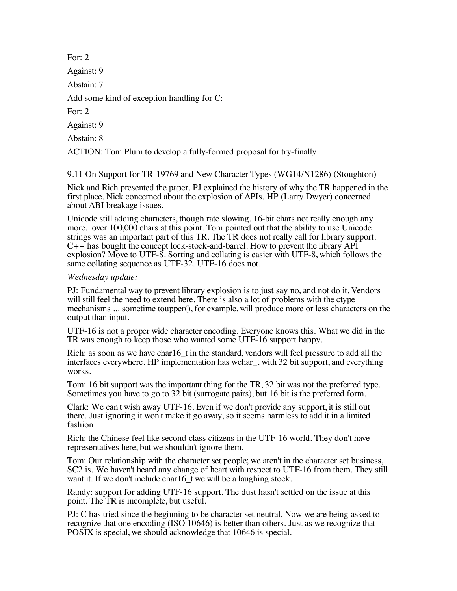For: 2 Against: 9 Abstain: 7 Add some kind of exception handling for C: For: 2 Against: 9 Abstain: 8 ACTION: Tom Plum to develop a fully-formed proposal for try-finally.

9.11 On Support for TR-19769 and New Character Types (WG14/N1286) (Stoughton)

Nick and Rich presented the paper. PJ explained the history of why the TR happened in the first place. Nick concerned about the explosion of APIs. HP (Larry Dwyer) concerned about ABI breakage issues.

Unicode still adding characters, though rate slowing. 16-bit chars not really enough any more...over 100,000 chars at this point. Tom pointed out that the ability to use Unicode strings was an important part of this TR. The TR does not really call for library support.  $C_{++}$  has bought the concept lock-stock-and-barrel. How to prevent the library API explosion? Move to UTF-8. Sorting and collating is easier with UTF-8, which follows the same collating sequence as UTF-32. UTF-16 does not.

#### *Wednesday update:*

PJ: Fundamental way to prevent library explosion is to just say no, and not do it. Vendors will still feel the need to extend here. There is also a lot of problems with the ctype mechanisms ... sometime toupper(), for example, will produce more or less characters on the output than input.

UTF-16 is not a proper wide character encoding. Everyone knows this. What we did in the TR was enough to keep those who wanted some UTF-16 support happy.

Rich: as soon as we have char16\_t in the standard, vendors will feel pressure to add all the interfaces everywhere. HP implementation has wchar\_t with 32 bit support, and everything works.

Tom: 16 bit support was the important thing for the TR, 32 bit was not the preferred type. Sometimes you have to go to  $32$  bit (surrogate pairs), but 16 bit is the preferred form.

Clark: We can't wish away UTF-16. Even if we don't provide any support, it is still out there. Just ignoring it won't make it go away, so it seems harmless to add it in a limited fashion.

Rich: the Chinese feel like second-class citizens in the UTF-16 world. They don't have representatives here, but we shouldn't ignore them.

Tom: Our relationship with the character set people; we aren't in the character set business, SC2 is. We haven't heard any change of heart with respect to UTF-16 from them. They still want it. If we don't include char16\_t we will be a laughing stock.

Randy: support for adding UTF-16 support. The dust hasn't settled on the issue at this point. The TR is incomplete, but useful.

PJ: C has tried since the beginning to be character set neutral. Now we are being asked to recognize that one encoding (ISO 10646) is better than others. Just as we recognize that POSIX is special, we should acknowledge that 10646 is special.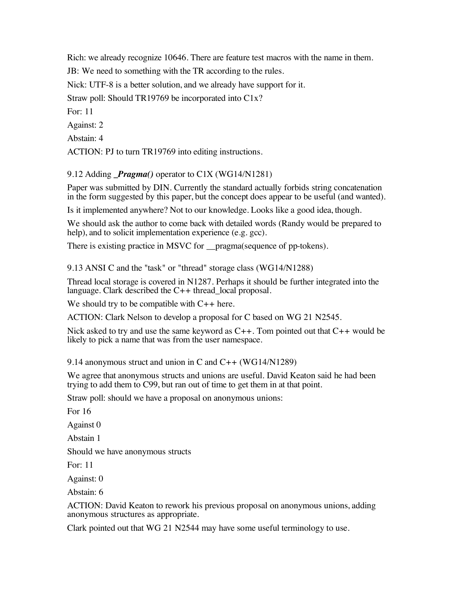Rich: we already recognize 10646. There are feature test macros with the name in them.

JB: We need to something with the TR according to the rules.

Nick: UTF-8 is a better solution, and we already have support for it.

Straw poll: Should TR19769 be incorporated into C1x?

For: 11

Against: 2

Abstain: 4

ACTION: PJ to turn TR19769 into editing instructions.

#### 9.12 Adding *Pragma()* operator to C1X (WG14/N1281)

Paper was submitted by DIN. Currently the standard actually forbids string concatenation in the form suggested by this paper, but the concept does appear to be useful (and wanted).

Is it implemented anywhere? Not to our knowledge. Looks like a good idea, though.

We should ask the author to come back with detailed words (Randy would be prepared to help), and to solicit implementation experience (e.g. gcc).

There is existing practice in MSVC for \_\_pragma(sequence of pp-tokens).

9.13 ANSI C and the "task" or "thread" storage class (WG14/N1288)

Thread local storage is covered in N1287. Perhaps it should be further integrated into the language. Clark described the  $C++$  thread local proposal.

We should try to be compatible with  $C_{++}$  here.

ACTION: Clark Nelson to develop a proposal for C based on WG 21 N2545.

Nick asked to try and use the same keyword as  $C_{++}$ . Tom pointed out that  $C_{++}$  would be likely to pick a name that was from the user namespace.

9.14 anonymous struct and union in C and C++ (WG14/N1289)

We agree that anonymous structs and unions are useful. David Keaton said he had been trying to add them to C99, but ran out of time to get them in at that point.

Straw poll: should we have a proposal on anonymous unions:

For 16

Against 0

Abstain 1

Should we have anonymous structs

For: 11

Against: 0

Abstain: 6

ACTION: David Keaton to rework his previous proposal on anonymous unions, adding anonymous structures as appropriate.

Clark pointed out that WG 21 N2544 may have some useful terminology to use.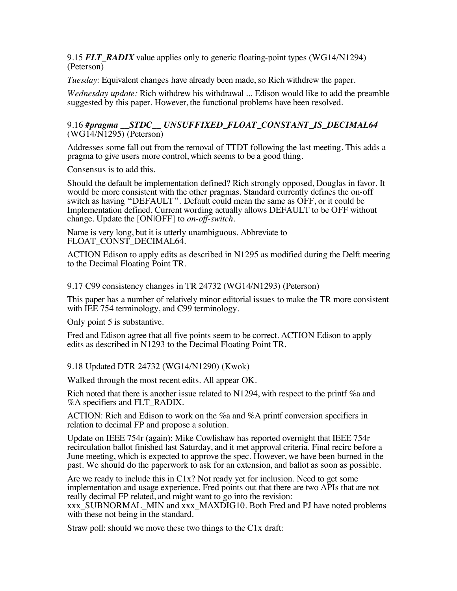9.15 *FLT\_RADIX* value applies only to generic floating-point types (WG14/N1294) (Peterson)

*Tuesday*: Equivalent changes have already been made, so Rich withdrew the paper.

*Wednesday update:* Rich withdrew his withdrawal ... Edison would like to add the preamble suggested by this paper. However, the functional problems have been resolved.

#### 9.16 *#pragma \_\_STDC\_\_ UNSUFFIXED\_FLOAT\_CONSTANT\_IS\_DECIMAL64* (WG14/N1295) (Peterson)

Addresses some fall out from the removal of TTDT following the last meeting. This adds a pragma to give users more control, which seems to be a good thing.

Consensus is to add this.

Should the default be implementation defined? Rich strongly opposed, Douglas in favor. It would be more consistent with the other pragmas. Standard currently defines the on-off switch as having "DEFAULT". Default could mean the same as OFF, or it could be Implementation defined. Current wording actually allows DEFAULT to be OFF without change. Update the [ON|OFF] to *on-off-switch.*

Name is very long, but it is utterly unambiguous. Abbreviate to FLOAT CONST\_DECIMAL64.

ACTION Edison to apply edits as described in N1295 as modified during the Delft meeting to the Decimal Floating Point TR.

9.17 C99 consistency changes in TR 24732 (WG14/N1293) (Peterson)

This paper has a number of relatively minor editorial issues to make the TR more consistent with IEE 754 terminology, and C99 terminology.

Only point 5 is substantive.

Fred and Edison agree that all five points seem to be correct. ACTION Edison to apply edits as described in N1293 to the Decimal Floating Point TR.

9.18 Updated DTR 24732 (WG14/N1290) (Kwok)

Walked through the most recent edits. All appear OK.

Rich noted that there is another issue related to N1294, with respect to the printf %a and %A specifiers and FLT\_RADIX.

ACTION: Rich and Edison to work on the %a and %A printf conversion specifiers in relation to decimal FP and propose a solution.

Update on IEEE 754r (again): Mike Cowlishaw has reported overnight that IEEE 754r recirculation ballot finished last Saturday, and it met approval criteria. Final recirc before a June meeting, which is expected to approve the spec. However, we have been burned in the past. We should do the paperwork to ask for an extension, and ballot as soon as possible.

Are we ready to include this in C1x? Not ready yet for inclusion. Need to get some implementation and usage experience. Fred points out that there are two APIs that are not really decimal FP related, and might want to go into the revision:

xxx\_SUBNORMAL\_MIN and xxx\_MAXDIG10. Both Fred and PJ have noted problems with these not being in the standard.

Straw poll: should we move these two things to the C1x draft: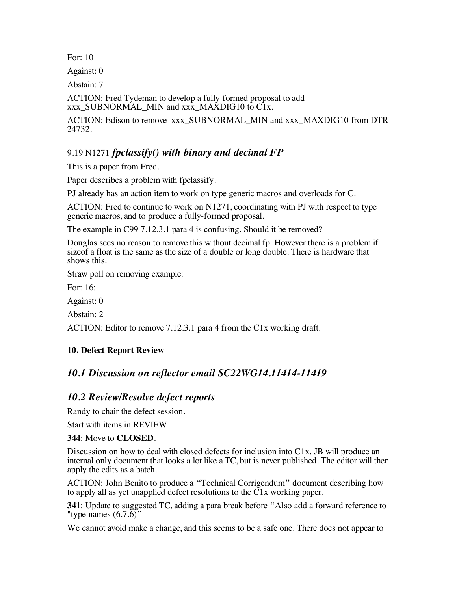For: 10

Against: 0

Abstain: 7

ACTION: Fred Tydeman to develop a fully-formed proposal to add xxx\_SUBNORMAL\_MIN and xxx\_MAXDIG10 to C1x.

ACTION: Edison to remove xxx\_SUBNORMAL\_MIN and xxx\_MAXDIG10 from DTR 24732.

### 9.19 N1271 *fpclassify() with binary and decimal FP*

This is a paper from Fred.

Paper describes a problem with fpclassify.

PJ already has an action item to work on type generic macros and overloads for C.

ACTION: Fred to continue to work on N1271, coordinating with PJ with respect to type generic macros, and to produce a fully-formed proposal.

The example in C99 7.12.3.1 para 4 is confusing. Should it be removed?

Douglas sees no reason to remove this without decimal fp. However there is a problem if sizeof a float is the same as the size of a double or long double. There is hardware that shows this.

Straw poll on removing example:

For: 16:

Against: 0

Abstain: 2

ACTION: Editor to remove 7.12.3.1 para 4 from the C1x working draft.

#### **10. Defect Report Review**

### *10.1 Discussion on reflector email SC22WG14.11414-11419*

#### *10.2 Review/Resolve defect reports*

Randy to chair the defect session.

Start with items in REVIEW

#### **344**: Move to **CLOSED**.

Discussion on how to deal with closed defects for inclusion into C1x. JB will produce an internal only document that looks a lot like a TC, but is never published. The editor will then apply the edits as a batch.

ACTION: John Benito to produce a "Technical Corrigendum" document describing how to apply all as yet unapplied defect resolutions to the  $\tilde{C}1x$  working paper.

**341**: Update to suggested TC, adding a para break before "Also add a forward reference to "type names  $(6.7.6)$ "

We cannot avoid make a change, and this seems to be a safe one. There does not appear to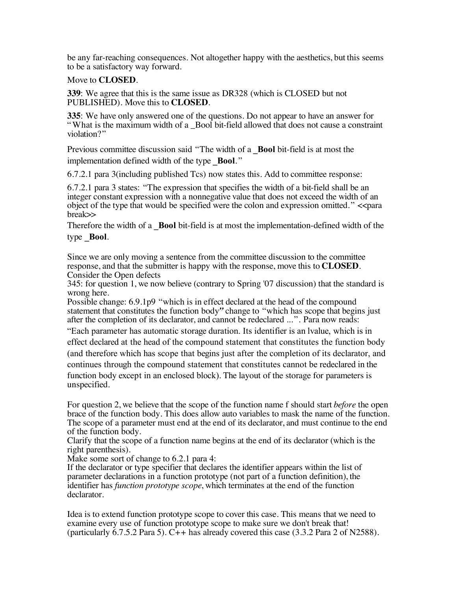be any far-reaching consequences. Not altogether happy with the aesthetics, but this seems to be a satisfactory way forward.

Move to **CLOSED**.

**339**: We agree that this is the same issue as DR328 (which is CLOSED but not PUBLISHED). Move this to **CLOSED**.

**335**: We have only answered one of the questions. Do not appear to have an answer for " What is the maximum width of a \_Bool bit-field allowed that does not cause a constraint violation?"

Previous committee discussion said "The width of a **Bool** bit-field is at most the implementation defined width of the type **Bool**."

6.7.2.1 para 3(including published Tcs) now states this. Add to committee response:

6.7.2.1 para 3 states: "The expression that specifies the width of a bit-field shall be an integer constant expression with a nonnegative value that does not exceed the width of an object of the type that would be specified were the colon and expression omitted." << para break>>

Therefore the width of a **Bool** bit-field is at most the implementation-defined width of the type **Bool**.

Since we are only moving a sentence from the committee discussion to the committee response, and that the submitter is happy with the response, move this to **CLOSED**. Consider the Open defects

345: for question 1, we now believe (contrary to Spring '07 discussion) that the standard is wrong here.

Possible change: 6.9.1p9 "which is in effect declared at the head of the compound statement that constitutes the function body*"* change to "which has scope that begins just after the completion of its declarator, and cannot be redeclared ...". Para now reads:

"Each parameter has automatic storage duration. Its identifier is an lvalue, which is in effect declared at the head of the compound statement that constitutes the function body

(and therefore which has scope that begins just after the completion of its declarator, and continues through the compound statement that constitutes cannot be redeclared in the function body except in an enclosed block). The layout of the storage for parameters is unspecified.

For question 2, we believe that the scope of the function name f should start *before* the open brace of the function body. This does allow auto variables to mask the name of the function. The scope of a parameter must end at the end of its declarator, and must continue to the end of the function body.

Clarify that the scope of a function name begins at the end of its declarator (which is the right parenthesis).

Make some sort of change to 6.2.1 para 4:

If the declarator or type specifier that declares the identifier appears within the list of parameter declarations in a function prototype (not part of a function definition), the identifier has *function prototype scope*, which terminates at the end of the function declarator.

Idea is to extend function prototype scope to cover this case. This means that we need to examine every use of function prototype scope to make sure we don't break that! (particularly  $6.7.5.2$  Para 5).  $C++$  has already covered this case (3.3.2 Para 2 of N2588).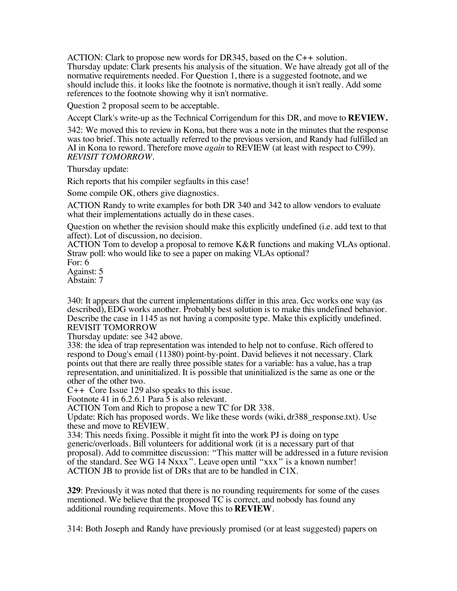ACTION: Clark to propose new words for DR345, based on the C++ solution. Thursday update: Clark presents his analysis of the situation. We have already got all of the normative requirements needed. For Question 1, there is a suggested footnote, and we should include this. it looks like the footnote is normative, though it isn't really. Add some references to the footnote showing why it isn't normative.

Question 2 proposal seem to be acceptable.

Accept Clark's write-up as the Technical Corrigendum for this DR, and move to **REVIEW.**

342: We moved this to review in Kona, but there was a note in the minutes that the response was too brief. This note actually referred to the previous version, and Randy had fulfilled an AI in Kona to reword. Therefore move *again* to REVIEW (at least with respect to C99). *REVISIT TOMORROW.*

Thursday update:

Rich reports that his compiler segfaults in this case!

Some compile OK, others give diagnostics.

ACTION Randy to write examples for both DR 340 and 342 to allow vendors to evaluate what their implementations actually do in these cases.

Question on whether the revision should make this explicitly undefined (i.e. add text to that affect). Lot of discussion, no decision.

ACTION Tom to develop a proposal to remove K&R functions and making VLAs optional. Straw poll: who would like to see a paper on making VLAs optional?

For: 6 Against: 5

Abstain: 7

340: It appears that the current implementations differ in this area. Gcc works one way (as described), EDG works another. Probably best solution is to make this undefined behavior. Describe the case in 1145 as not having a composite type. Make this explicitly undefined. REVISIT TOMORROW

Thursday update: see 342 above.

338: the idea of trap representation was intended to help not to confuse. Rich offered to respond to Doug's email (11380) point-by-point. David believes it not necessary. Clark points out that there are really three possible states for a variable: has a value, has a trap representation, and uninitialized. It is possible that uninitialized is the same as one or the other of the other two.

C++ Core Issue 129 also speaks to this issue.

Footnote 41 in 6.2.6.1 Para 5 is also relevant.

ACTION Tom and Rich to propose a new TC for DR 338.

Update: Rich has proposed words. We like these words (wiki, dr388 response.txt). Use these and move to REVIEW.

334: This needs fixing. Possible it might fit into the work PJ is doing on type generic/overloads. Bill volunteers for additional work (it is a necessary part of that proposal). Add to committee discussion: "This matter will be addressed in a future revision of the standard. See WG 14 Nxxx". Leave open until "xxx" is a known number! ACTION JB to provide list of DRs that are to be handled in C1X.

**329**: Previously it was noted that there is no rounding requirements for some of the cases mentioned. We believe that the proposed TC is correct, and nobody has found any additional rounding requirements. Move this to **REVIEW**.

314: Both Joseph and Randy have previously promised (or at least suggested) papers on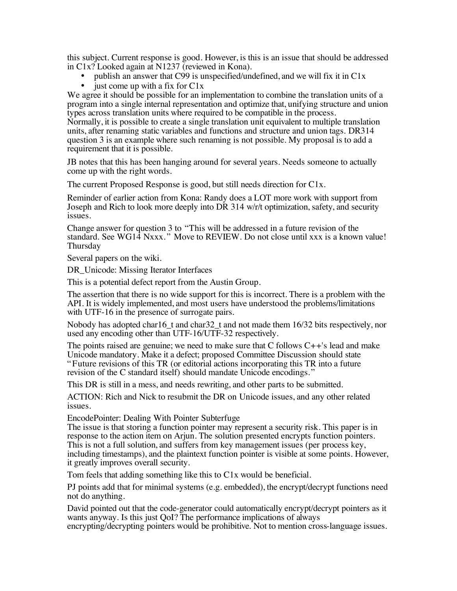this subject. Current response is good. However, is this is an issue that should be addressed in C1x? Looked again at N1237 (reviewed in Kona).

- publish an answer that C99 is unspecified/undefined, and we will fix it in  $C1x$ <br>• iust come un with a fix for  $C1x$
- just come up with a fix for  $C1x$

We agree it should be possible for an implementation to combine the translation units of a program into a single internal representation and optimize that, unifying structure and union types across translation units where required to be compatible in the process. Normally, it is possible to create a single translation unit equivalent to multiple translation units, after renaming static variables and functions and structure and union tags. DR314

question 3 is an example where such renaming is not possible. My proposal is to add a requirement that it is possible.

JB notes that this has been hanging around for several years. Needs someone to actually come up with the right words.

The current Proposed Response is good, but still needs direction for C1x.

Reminder of earlier action from Kona: Randy does a LOT more work with support from Joseph and Rich to look more deeply into DR 314 w/r/t optimization, safety, and security issues.

Change answer for question 3 to "This will be addressed in a future revision of the standard. See WG14 Nxxx. " Move to REVIEW. Do not close until xxx is a known value! Thursday

Several papers on the wiki.

DR Unicode: Missing Iterator Interfaces

This is a potential defect report from the Austin Group.

The assertion that there is no wide support for this is incorrect. There is a problem with the API. It is widely implemented, and most users have understood the problems/limitations with UTF-16 in the presence of surrogate pairs.

Nobody has adopted char16 t and char32 t and not made them 16/32 bits respectively, nor used any encoding other than UTF-16/UTF-32 respectively.

The points raised are genuine; we need to make sure that  $C$  follows  $C++$ 's lead and make Unicode mandatory. Make it a defect; proposed Committee Discussion should state "Future revisions of this TR (or editorial actions incorporating this TR into a future revision of the C standard itself) should mandate Unicode encodings."

This DR is still in a mess, and needs rewriting, and other parts to be submitted.

ACTION: Rich and Nick to resubmit the DR on Unicode issues, and any other related issues.

EncodePointer: Dealing With Pointer Subterfuge

The issue is that storing a function pointer may represent a security risk. This paper is in response to the action item on Arjun. The solution presented encrypts function pointers. This is not a full solution, and suffers from key management issues (per process key, including timestamps), and the plaintext function pointer is visible at some points. However, it greatly improves overall security.

Tom feels that adding something like this to C1x would be beneficial.

PJ points add that for minimal systems (e.g. embedded), the encrypt/decrypt functions need not do anything.

David pointed out that the code-generator could automatically encrypt/decrypt pointers as it wants anyway. Is this just QoI? The performance implications of always encrypting/decrypting pointers would be prohibitive. Not to mention cross-language issues.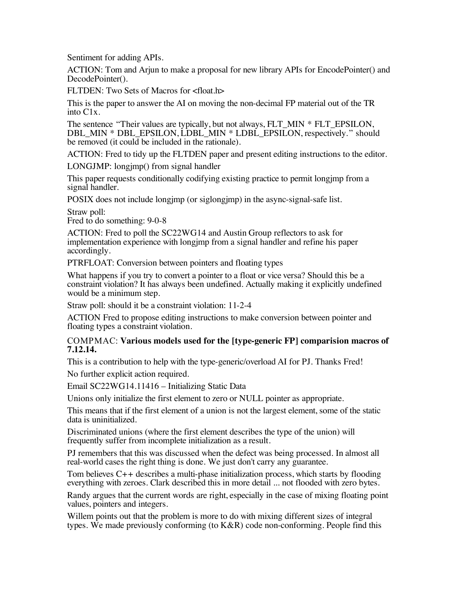Sentiment for adding APIs.

ACTION: Tom and Arjun to make a proposal for new library APIs for EncodePointer() and DecodePointer().

FLTDEN: Two Sets of Macros for <float.h>

This is the paper to answer the AI on moving the non-decimal FP material out of the TR into C1x.

The sentence "Their values are typically, but not always, FLT\_MIN \* FLT\_EPSILON, DBL\_MIN \* DBL\_EPSILON, LDBL\_MIN \* LDBL\_EPSILON, respectively." should be removed (it could be included in the rationale).

ACTION: Fred to tidy up the FLTDEN paper and present editing instructions to the editor.

LONGJMP: longjmp() from signal handler

This paper requests conditionally codifying existing practice to permit longjmp from a signal handler.

POSIX does not include longjmp (or siglongjmp) in the async-signal-safe list.

Straw poll: Fred to do something: 9-0-8

ACTION: Fred to poll the SC22WG14 and Austin Group reflectors to ask for implementation experience with longjmp from a signal handler and refine his paper accordingly.

PTRFLOAT: Conversion between pointers and floating types

What happens if you try to convert a pointer to a float or vice versa? Should this be a constraint violation? It has always been undefined. Actually making it explicitly undefined would be a minimum step.

Straw poll: should it be a constraint violation: 11-2-4

ACTION Fred to propose editing instructions to make conversion between pointer and floating types a constraint violation.

#### COMPMAC: **Various models used for the [type-generic FP] comparision macros of 7.12.14.**

This is a contribution to help with the type-generic/overload AI for PJ. Thanks Fred!

No further explicit action required.

Email SC22WG14.11416 – Initializing Static Data

Unions only initialize the first element to zero or NULL pointer as appropriate.

This means that if the first element of a union is not the largest element, some of the static data is uninitialized.

Discriminated unions (where the first element describes the type of the union) will frequently suffer from incomplete initialization as a result.

PJ remembers that this was discussed when the defect was being processed. In almost all real-world cases the right thing is done. We just don't carry any guarantee.

Tom believes C++ describes a multi-phase initialization process, which starts by flooding everything with zeroes. Clark described this in more detail ... not flooded with zero bytes.

Randy argues that the current words are right, especially in the case of mixing floating point values, pointers and integers.

Willem points out that the problem is more to do with mixing different sizes of integral types. We made previously conforming (to  $K\&R$ ) code non-conforming. People find this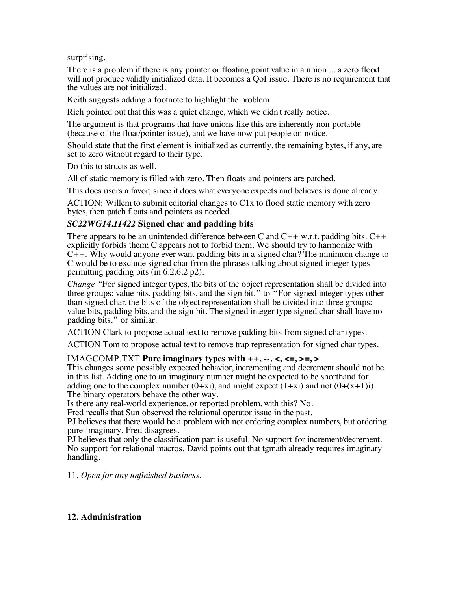surprising.

There is a problem if there is any pointer or floating point value in a union ... a zero flood will not produce validly initialized data. It becomes a QoI issue. There is no requirement that the values are not initialized.

Keith suggests adding a footnote to highlight the problem.

Rich pointed out that this was a quiet change, which we didn't really notice.

The argument is that programs that have unions like this are inherently non-portable (because of the float/pointer issue), and we have now put people on notice.

Should state that the first element is initialized as currently, the remaining bytes, if any, are set to zero without regard to their type.

Do this to structs as well.

All of static memory is filled with zero. Then floats and pointers are patched.

This does users a favor; since it does what everyone expects and believes is done already.

ACTION: Willem to submit editorial changes to C1x to flood static memory with zero bytes, then patch floats and pointers as needed.

#### *SC22WG14.11422* **Signed char and padding bits**

There appears to be an unintended difference between C and  $C_{++}$  w.r.t. padding bits.  $C_{++}$ explicitly forbids them; C appears not to forbid them. We should try to harmonize with  $C_{++}$ . Why would anyone ever want padding bits in a signed char? The minimum change to C would be to exclude signed char from the phrases talking about signed integer types permitting padding bits (in 6.2.6.2 p2).

*Change "*For signed integer types, the bits of the object representation shall be divided into three groups: value bits, padding bits, and the sign bit." to "For signed integer types other than signed char, the bits of the object representation shall be divided into three groups: value bits, padding bits, and the sign bit. The signed integer type signed char shall have no padding bits." or similar.

ACTION Clark to propose actual text to remove padding bits from signed char types.

ACTION Tom to propose actual text to remove trap representation for signed char types.

#### IMAGCOMP.TXT **Pure imaginary types with ++, --, <, <=, >=, >**

This changes some possibly expected behavior, incrementing and decrement should not be in this list. Adding one to an imaginary number might be expected to be shorthand for adding one to the complex number  $(0+xi)$ , and might expect  $(1+xi)$  and not  $(0+(x+1)i)$ . The binary operators behave the other way.

Is there any real-world experience, or reported problem, with this? No.

Fred recalls that Sun observed the relational operator issue in the past.

PJ believes that there would be a problem with not ordering complex numbers, but ordering pure-imaginary. Fred disagrees.

PJ believes that only the classification part is useful. No support for increment/decrement. No support for relational macros. David points out that tgmath already requires imaginary handling.

11. *Open for any unfinished business*.

#### **12. Administration**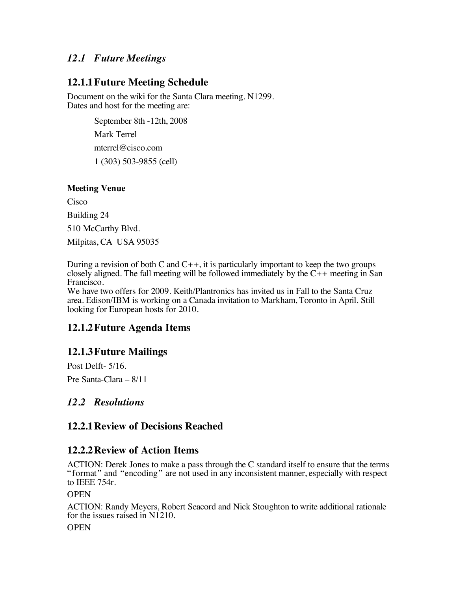### *12.1 Future Meetings*

### **12.1.1Future Meeting Schedule**

Document on the wiki for the Santa Clara meeting. N1299. Dates and host for the meeting are:

> September 8th -12th, 2008 Mark Terrel mterrel@cisco.com 1 (303) 503-9855 (cell)

#### **Meeting Venue**

Cisco Building 24 510 McCarthy Blvd. Milpitas, CA USA 95035

During a revision of both C and  $C_{++}$ , it is particularly important to keep the two groups closely aligned. The fall meeting will be followed immediately by the C++ meeting in San Francisco.

We have two offers for 2009. Keith/Plantronics has invited us in Fall to the Santa Cruz area. Edison/IBM is working on a Canada invitation to Markham, Toronto in April. Still looking for European hosts for 2010.

### **12.1.2Future Agenda Items**

### **12.1.3Future Mailings**

Post Delft- 5/16.

Pre Santa-Clara – 8/11

### *12.2 Resolutions*

### **12.2.1Review of Decisions Reached**

### **12.2.2Review of Action Items**

ACTION: Derek Jones to make a pass through the C standard itself to ensure that the terms "format" and "encoding" are not used in any inconsistent manner, especially with respect to IEEE 754r.

#### **OPEN**

ACTION: Randy Meyers, Robert Seacord and Nick Stoughton to write additional rationale for the issues raised in N1210.

**OPEN**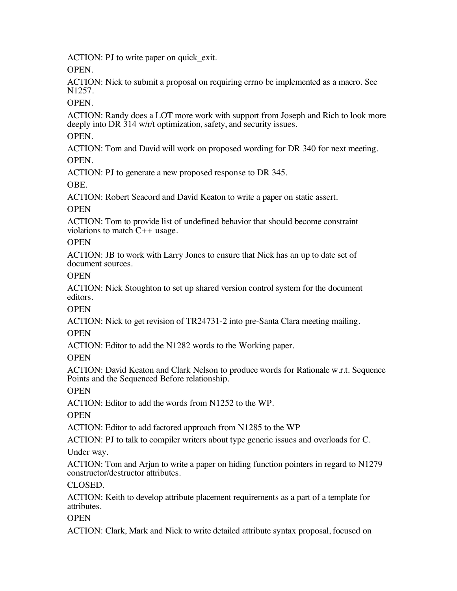ACTION: PJ to write paper on quick\_exit.

OPEN.

ACTION: Nick to submit a proposal on requiring errno be implemented as a macro. See N1257.

### OPEN.

ACTION: Randy does a LOT more work with support from Joseph and Rich to look more deeply into DR 314 w/r/t optimization, safety, and security issues.

### OPEN.

ACTION: Tom and David will work on proposed wording for DR 340 for next meeting. OPEN.

ACTION: PJ to generate a new proposed response to DR 345.

OBE.

ACTION: Robert Seacord and David Keaton to write a paper on static assert.

### **OPEN**

ACTION: Tom to provide list of undefined behavior that should become constraint violations to match C++ usage.

### **OPEN**

ACTION: JB to work with Larry Jones to ensure that Nick has an up to date set of document sources.

### **OPEN**

ACTION: Nick Stoughton to set up shared version control system for the document editors.

### **OPEN**

ACTION: Nick to get revision of TR24731-2 into pre-Santa Clara meeting mailing.

### **OPEN**

ACTION: Editor to add the N1282 words to the Working paper.

### **OPEN**

ACTION: David Keaton and Clark Nelson to produce words for Rationale w.r.t. Sequence Points and the Sequenced Before relationship.

### **OPEN**

ACTION: Editor to add the words from N1252 to the WP.

### **OPEN**

ACTION: Editor to add factored approach from N1285 to the WP

ACTION: PJ to talk to compiler writers about type generic issues and overloads for C.

### Under way.

ACTION: Tom and Arjun to write a paper on hiding function pointers in regard to N1279 constructor/destructor attributes.

### CLOSED.

ACTION: Keith to develop attribute placement requirements as a part of a template for attributes.

### **OPEN**

ACTION: Clark, Mark and Nick to write detailed attribute syntax proposal, focused on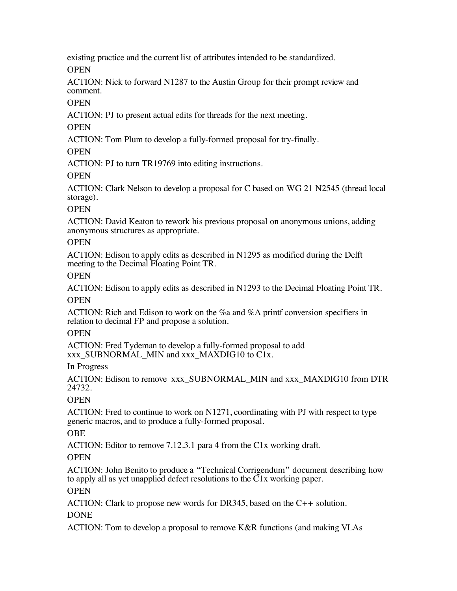existing practice and the current list of attributes intended to be standardized.

**OPEN** 

ACTION: Nick to forward N1287 to the Austin Group for their prompt review and comment.

**OPEN** 

ACTION: PJ to present actual edits for threads for the next meeting.

**OPEN** 

ACTION: Tom Plum to develop a fully-formed proposal for try-finally.

**OPEN** 

ACTION: PJ to turn TR19769 into editing instructions.

**OPEN** 

ACTION: Clark Nelson to develop a proposal for C based on WG 21 N2545 (thread local storage).

### **OPEN**

ACTION: David Keaton to rework his previous proposal on anonymous unions, adding anonymous structures as appropriate.

### **OPEN**

ACTION: Edison to apply edits as described in N1295 as modified during the Delft meeting to the Decimal Floating Point TR.

**OPEN** 

ACTION: Edison to apply edits as described in N1293 to the Decimal Floating Point TR. **OPEN** 

ACTION: Rich and Edison to work on the %a and %A printf conversion specifiers in relation to decimal FP and propose a solution.

### **OPEN**

ACTION: Fred Tydeman to develop a fully-formed proposal to add xxx\_SUBNORMAL\_MIN and xxx\_MAXDIG10 to C1x.

In Progress

ACTION: Edison to remove xxx\_SUBNORMAL\_MIN and xxx\_MAXDIG10 from DTR 24732.

### **OPEN**

ACTION: Fred to continue to work on N1271, coordinating with PJ with respect to type generic macros, and to produce a fully-formed proposal.

### OBE

ACTION: Editor to remove 7.12.3.1 para 4 from the C1x working draft.

### **OPEN**

ACTION: John Benito to produce a "Technical Corrigendum" document describing how to apply all as yet unapplied defect resolutions to the C1x working paper.

### **OPEN**

ACTION: Clark to propose new words for DR345, based on the C++ solution. DONE

ACTION: Tom to develop a proposal to remove K&R functions (and making VLAs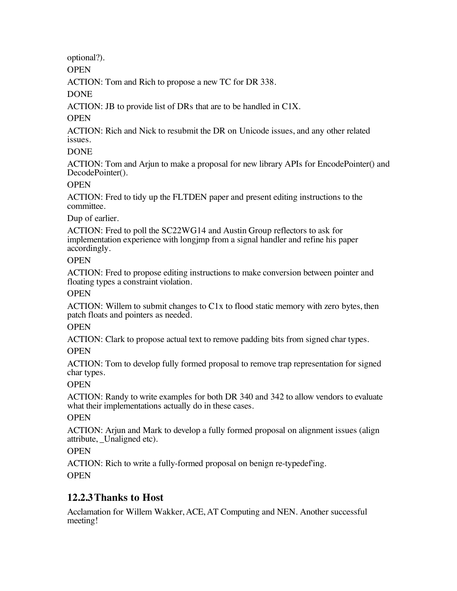optional?).

**OPEN** 

ACTION: Tom and Rich to propose a new TC for DR 338.

DONE

ACTION: JB to provide list of DRs that are to be handled in C1X.

### **OPEN**

ACTION: Rich and Nick to resubmit the DR on Unicode issues, and any other related issues.

### **DONE**

ACTION: Tom and Arjun to make a proposal for new library APIs for EncodePointer() and DecodePointer().

#### **OPEN**

ACTION: Fred to tidy up the FLTDEN paper and present editing instructions to the committee.

### Dup of earlier.

ACTION: Fred to poll the SC22WG14 and Austin Group reflectors to ask for implementation experience with longjmp from a signal handler and refine his paper accordingly.

#### **OPEN**

ACTION: Fred to propose editing instructions to make conversion between pointer and floating types a constraint violation.

### **OPEN**

ACTION: Willem to submit changes to C1x to flood static memory with zero bytes, then patch floats and pointers as needed.

### **OPEN**

ACTION: Clark to propose actual text to remove padding bits from signed char types.

### **OPEN**

ACTION: Tom to develop fully formed proposal to remove trap representation for signed char types.

### **OPEN**

ACTION: Randy to write examples for both DR 340 and 342 to allow vendors to evaluate what their implementations actually do in these cases.

### **OPEN**

ACTION: Arjun and Mark to develop a fully formed proposal on alignment issues (align attribute, \_Unaligned etc).

### **OPEN**

ACTION: Rich to write a fully-formed proposal on benign re-typedef'ing. **OPEN** 

### **12.2.3Thanks to Host**

Acclamation for Willem Wakker, ACE, AT Computing and NEN. Another successful meeting!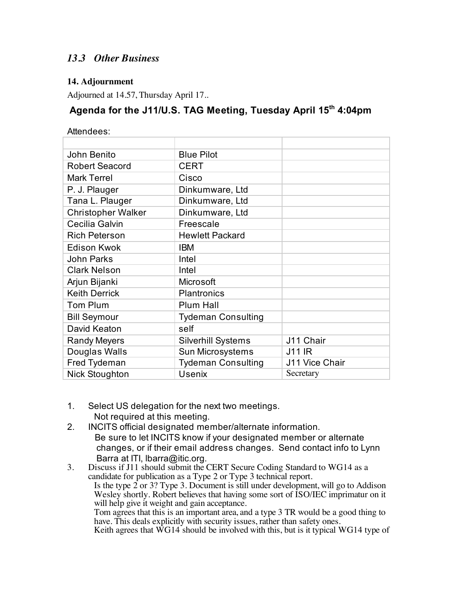### *13.3 Other Business*

### **14. Adjournment**

Adjourned at 14.57, Thursday April 17..

# **Agenda for the J11/U.S. TAG Meeting, Tuesday April 15th 4:04pm**

Attendees:

| John Benito               | <b>Blue Pilot</b>         |                |
|---------------------------|---------------------------|----------------|
| Robert Seacord            | <b>CERT</b>               |                |
| <b>Mark Terrel</b>        | Cisco                     |                |
| P. J. Plauger             | Dinkumware, Ltd           |                |
| Tana L. Plauger           | Dinkumware, Ltd           |                |
| <b>Christopher Walker</b> | Dinkumware, Ltd           |                |
| Cecilia Galvin            | Freescale                 |                |
| <b>Rich Peterson</b>      | <b>Hewlett Packard</b>    |                |
| <b>Edison Kwok</b>        | <b>IBM</b>                |                |
| <b>John Parks</b>         | Intel                     |                |
| <b>Clark Nelson</b>       | Intel                     |                |
| Arjun Bijanki             | <b>Microsoft</b>          |                |
| <b>Keith Derrick</b>      | <b>Plantronics</b>        |                |
| <b>Tom Plum</b>           | <b>Plum Hall</b>          |                |
| <b>Bill Seymour</b>       | <b>Tydeman Consulting</b> |                |
| David Keaton              | self                      |                |
| <b>Randy Meyers</b>       | <b>Silverhill Systems</b> | J11 Chair      |
| Douglas Walls             | Sun Microsystems          | <b>J11 IR</b>  |
| <b>Fred Tydeman</b>       | <b>Tydeman Consulting</b> | J11 Vice Chair |
| <b>Nick Stoughton</b>     | <b>Usenix</b>             | Secretary      |

- 1. Select US delegation for the next two meetings. Not required at this meeting.
- 2. INCITS official designated member/alternate information. Be sure to let INCITS know if your designated member or alternate changes, or if their email address changes. Send contact info to Lynn Barra at ITI, lbarra@itic.org.

3. Discuss if J11 should submit the CERT Secure Coding Standard to WG14 as a candidate for publication as a Type 2 or Type 3 technical report. Is the type 2 or 3? Type 3. Document is still under development, will go to Addison Wesley shortly. Robert believes that having some sort of ISO/IEC imprimatur on it will help give it weight and gain acceptance. Tom agrees that this is an important area, and a type 3 TR would be a good thing to have. This deals explicitly with security issues, rather than safety ones.

Keith agrees that WG14 should be involved with this, but is it typical WG14 type of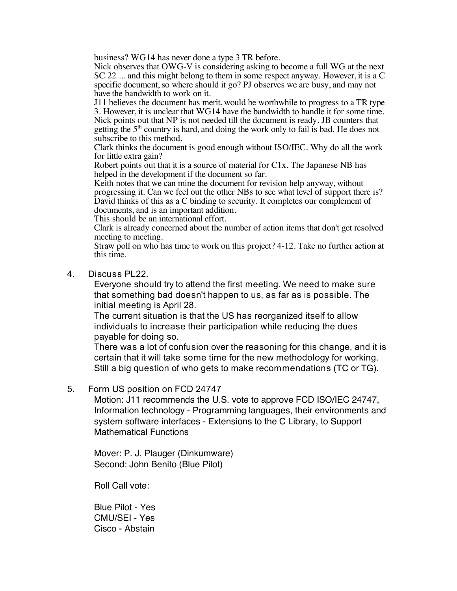business? WG14 has never done a type 3 TR before.

Nick observes that OWG-V is considering asking to become a full WG at the next SC 22 ... and this might belong to them in some respect anyway. However, it is a C specific document, so where should it go? PJ observes we are busy, and may not have the bandwidth to work on it.

J11 believes the document has merit, would be worthwhile to progress to a TR type 3. However, it is unclear that WG14 have the bandwidth to handle it for some time. Nick points out that NP is not needed till the document is ready. JB counters that getting the  $5<sup>th</sup>$  country is hard, and doing the work only to fail is bad. He does not subscribe to this method.

Clark thinks the document is good enough without ISO/IEC. Why do all the work for little extra gain?

Robert points out that it is a source of material for C1x. The Japanese NB has helped in the development if the document so far.

Keith notes that we can mine the document for revision help anyway, without progressing it. Can we feel out the other NBs to see what level of support there is? David thinks of this as a C binding to security. It completes our complement of documents, and is an important addition.

This should be an international effort.

Clark is already concerned about the number of action items that don't get resolved meeting to meeting.

Straw poll on who has time to work on this project? 4-12. Take no further action at this time.

4. Discuss PL22.

Everyone should try to attend the first meeting. We need to make sure that something bad doesn't happen to us, as far as is possible. The initial meeting is April 28.

The current situation is that the US has reorganized itself to allow individuals to increase their participation while reducing the dues payable for doing so.

There was a lot of confusion over the reasoning for this change, and it is certain that it will take some time for the new methodology for working. Still a big question of who gets to make recommendations (TC or TG).

#### 5. Form US position on FCD 24747

Motion: J11 recommends the U.S. vote to approve FCD ISO/IEC 24747, Information technology - Programming languages, their environments and system software interfaces - Extensions to the C Library, to Support Mathematical Functions

Mover: P. J. Plauger (Dinkumware) Second: John Benito (Blue Pilot)

Roll Call vote:

Blue Pilot - Yes CMU/SEI - Yes Cisco - Abstain